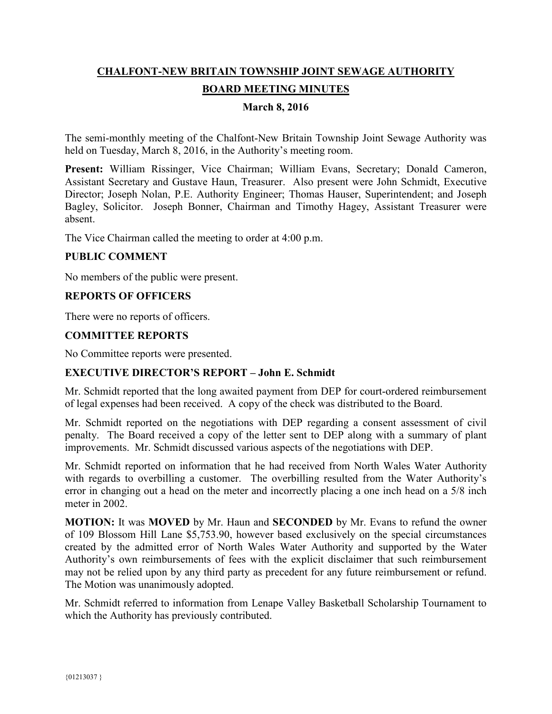# **CHALFONT-NEW BRITAIN TOWNSHIP JOINT SEWAGE AUTHORITY BOARD MEETING MINUTES**

## **March 8, 2016**

The semi-monthly meeting of the Chalfont-New Britain Township Joint Sewage Authority was held on Tuesday, March 8, 2016, in the Authority's meeting room.

**Present:** William Rissinger, Vice Chairman; William Evans, Secretary; Donald Cameron, Assistant Secretary and Gustave Haun, Treasurer. Also present were John Schmidt, Executive Director; Joseph Nolan, P.E. Authority Engineer; Thomas Hauser, Superintendent; and Joseph Bagley, Solicitor. Joseph Bonner, Chairman and Timothy Hagey, Assistant Treasurer were absent.

The Vice Chairman called the meeting to order at 4:00 p.m.

### **PUBLIC COMMENT**

No members of the public were present.

### **REPORTS OF OFFICERS**

There were no reports of officers.

## **COMMITTEE REPORTS**

No Committee reports were presented.

### **EXECUTIVE DIRECTOR'S REPORT – John E. Schmidt**

Mr. Schmidt reported that the long awaited payment from DEP for court-ordered reimbursement of legal expenses had been received. A copy of the check was distributed to the Board.

Mr. Schmidt reported on the negotiations with DEP regarding a consent assessment of civil penalty. The Board received a copy of the letter sent to DEP along with a summary of plant improvements. Mr. Schmidt discussed various aspects of the negotiations with DEP.

Mr. Schmidt reported on information that he had received from North Wales Water Authority with regards to overbilling a customer. The overbilling resulted from the Water Authority's error in changing out a head on the meter and incorrectly placing a one inch head on a 5/8 inch meter in 2002.

**MOTION:** It was **MOVED** by Mr. Haun and **SECONDED** by Mr. Evans to refund the owner of 109 Blossom Hill Lane \$5,753.90, however based exclusively on the special circumstances created by the admitted error of North Wales Water Authority and supported by the Water Authority's own reimbursements of fees with the explicit disclaimer that such reimbursement may not be relied upon by any third party as precedent for any future reimbursement or refund. The Motion was unanimously adopted.

Mr. Schmidt referred to information from Lenape Valley Basketball Scholarship Tournament to which the Authority has previously contributed.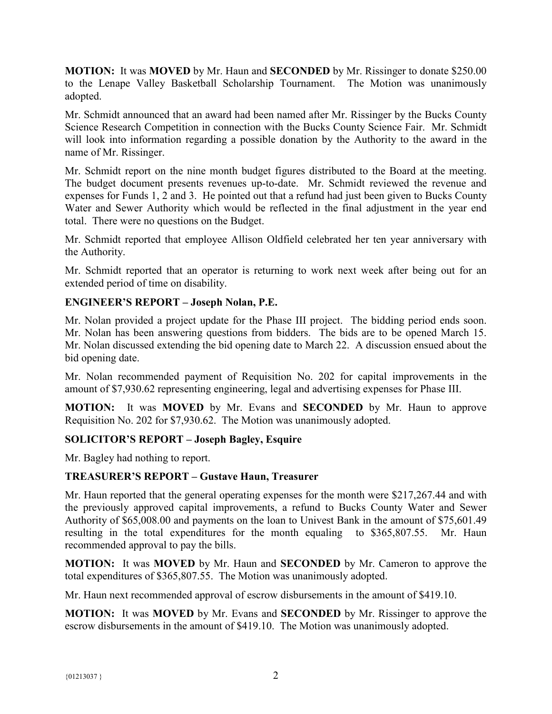**MOTION:** It was **MOVED** by Mr. Haun and **SECONDED** by Mr. Rissinger to donate \$250.00 to the Lenape Valley Basketball Scholarship Tournament. The Motion was unanimously adopted.

Mr. Schmidt announced that an award had been named after Mr. Rissinger by the Bucks County Science Research Competition in connection with the Bucks County Science Fair. Mr. Schmidt will look into information regarding a possible donation by the Authority to the award in the name of Mr. Rissinger.

Mr. Schmidt report on the nine month budget figures distributed to the Board at the meeting. The budget document presents revenues up-to-date. Mr. Schmidt reviewed the revenue and expenses for Funds 1, 2 and 3. He pointed out that a refund had just been given to Bucks County Water and Sewer Authority which would be reflected in the final adjustment in the year end total. There were no questions on the Budget.

Mr. Schmidt reported that employee Allison Oldfield celebrated her ten year anniversary with the Authority.

Mr. Schmidt reported that an operator is returning to work next week after being out for an extended period of time on disability.

# **ENGINEER'S REPORT – Joseph Nolan, P.E.**

Mr. Nolan provided a project update for the Phase III project. The bidding period ends soon. Mr. Nolan has been answering questions from bidders. The bids are to be opened March 15. Mr. Nolan discussed extending the bid opening date to March 22. A discussion ensued about the bid opening date.

Mr. Nolan recommended payment of Requisition No. 202 for capital improvements in the amount of \$7,930.62 representing engineering, legal and advertising expenses for Phase III.

**MOTION:** It was **MOVED** by Mr. Evans and **SECONDED** by Mr. Haun to approve Requisition No. 202 for \$7,930.62. The Motion was unanimously adopted.

# **SOLICITOR'S REPORT – Joseph Bagley, Esquire**

Mr. Bagley had nothing to report.

# **TREASURER'S REPORT – Gustave Haun, Treasurer**

Mr. Haun reported that the general operating expenses for the month were \$217,267.44 and with the previously approved capital improvements, a refund to Bucks County Water and Sewer Authority of \$65,008.00 and payments on the loan to Univest Bank in the amount of \$75,601.49 resulting in the total expenditures for the month equaling to \$365,807.55. Mr. Haun recommended approval to pay the bills.

**MOTION:** It was **MOVED** by Mr. Haun and **SECONDED** by Mr. Cameron to approve the total expenditures of \$365,807.55. The Motion was unanimously adopted.

Mr. Haun next recommended approval of escrow disbursements in the amount of \$419.10.

**MOTION:** It was **MOVED** by Mr. Evans and **SECONDED** by Mr. Rissinger to approve the escrow disbursements in the amount of \$419.10. The Motion was unanimously adopted.